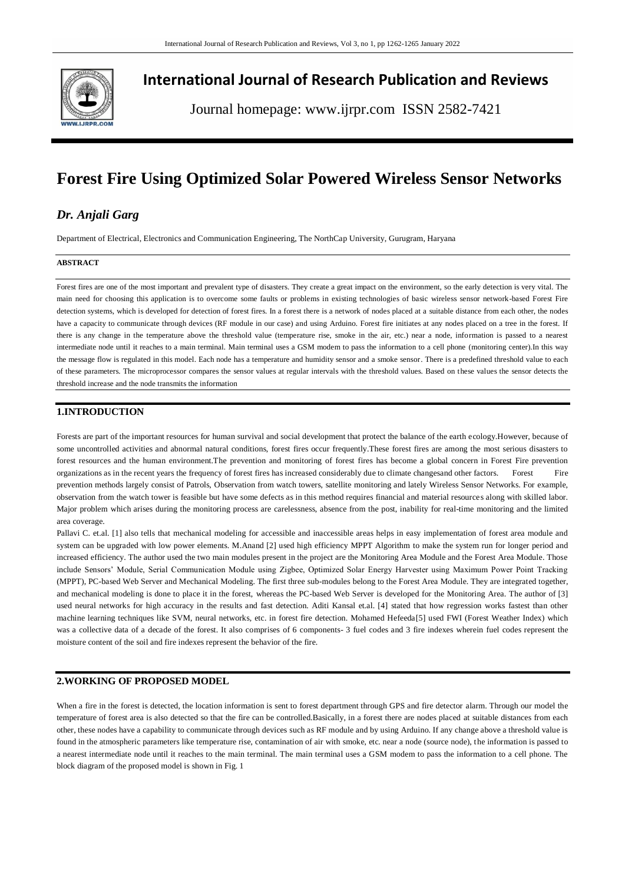

## **International Journal of Research Publication and Reviews**

Journal homepage: www.ijrpr.com ISSN 2582-7421

# **Forest Fire Using Optimized Solar Powered Wireless Sensor Networks**

## *Dr. Anjali Garg*

Department of Electrical, Electronics and Communication Engineering, The NorthCap University, Gurugram, Haryana

#### **ABSTRACT**

Forest fires are one of the most important and prevalent type of disasters. They create a great impact on the environment, so the early detection is very vital. The main need for choosing this application is to overcome some faults or problems in existing technologies of basic wireless sensor network-based Forest Fire detection systems, which is developed for detection of forest fires. In a forest there is a network of nodes placed at a suitable distance from each other, the nodes have a capacity to communicate through devices (RF module in our case) and using Arduino. Forest fire initiates at any nodes placed on a tree in the forest. If there is any change in the temperature above the threshold value (temperature rise, smoke in the air, etc.) near a node, information is passed to a nearest intermediate node until it reaches to a main terminal. Main terminal uses a GSM modem to pass the information to a cell phone (monitoring center).In this way the message flow is regulated in this model. Each node has a temperature and humidity sensor and a smoke sensor. There is a predefined threshold value to each of these parameters. The microprocessor compares the sensor values at regular intervals with the threshold values. Based on these values the sensor detects the threshold increase and the node transmits the information

#### **1.INTRODUCTION**

Forests are part of the important resources for human survival and social development that protect the balance of the earth ecology. However, because of some uncontrolled activities and abnormal natural conditions, forest fires occur frequently.These forest fires are among the most serious disasters to forest resources and the human environment.The prevention and monitoring of forest fires has become a global concern in Forest Fire prevention organizations as in the recent years the frequency of forest fires has increased considerably due to climate changesand other factors. Forest Fire prevention methods largely consist of Patrols, Observation from watch towers, satellite monitoring and lately Wireless Sensor Networks. For example, observation from the watch tower is feasible but have some defects as in this method requires financial and material resources along with skilled labor. Major problem which arises during the monitoring process are carelessness, absence from the post, inability for real-time monitoring and the limited area coverage.

Pallavi C. et.al. [1] also tells that mechanical modeling for accessible and inaccessible areas helps in easy implementation of forest area module and system can be upgraded with low power elements. M.Anand [2] used high efficiency MPPT Algorithm to make the system run for longer period and increased efficiency. The author used the two main modules present in the project are the Monitoring Area Module and the Forest Area Module. Those include Sensors' Module, Serial Communication Module using Zigbee, Optimized Solar Energy Harvester using Maximum Power Point Tracking (MPPT), PC-based Web Server and Mechanical Modeling. The first three sub-modules belong to the Forest Area Module. They are integrated together, and mechanical modeling is done to place it in the forest, whereas the PC-based Web Server is developed for the Monitoring Area. The author of [3] used neural networks for high accuracy in the results and fast detection. Aditi Kansal et.al. [4] stated that how regression works fastest than other machine learning techniques like SVM, neural networks, etc. in forest fire detection. Mohamed Hefeeda[5] used FWI (Forest Weather Index) which was a collective data of a decade of the forest. It also comprises of 6 components- 3 fuel codes and 3 fire indexes wherein fuel codes represent the moisture content of the soil and fire indexes represent the behavior of the fire.

### **2.WORKING OF PROPOSED MODEL**

When a fire in the forest is detected, the location information is sent to forest department through GPS and fire detector alarm. Through our model the temperature of forest area is also detected so that the fire can be controlled.Basically, in a forest there are nodes placed at suitable distances from each other, these nodes have a capability to communicate through devices such as RF module and by using Arduino. If any change above a threshold value is found in the atmospheric parameters like temperature rise, contamination of air with smoke, etc. near a node (source node), the information is passed to a nearest intermediate node until it reaches to the main terminal. The main terminal uses a GSM modem to pass the information to a cell phone. The block diagram of the proposed model is shown in Fig. 1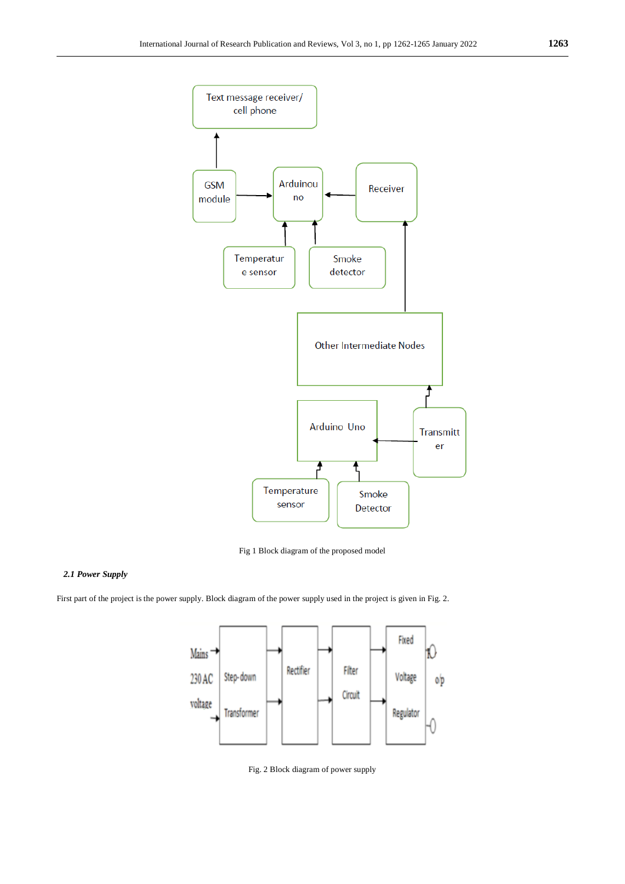

Fig 1 Block diagram of the proposed model

#### *2.1 Power Supply*

First part of the project is the power supply. Block diagram of the power supply used in the project is given in Fig. 2.



Fig. 2 Block diagram of power supply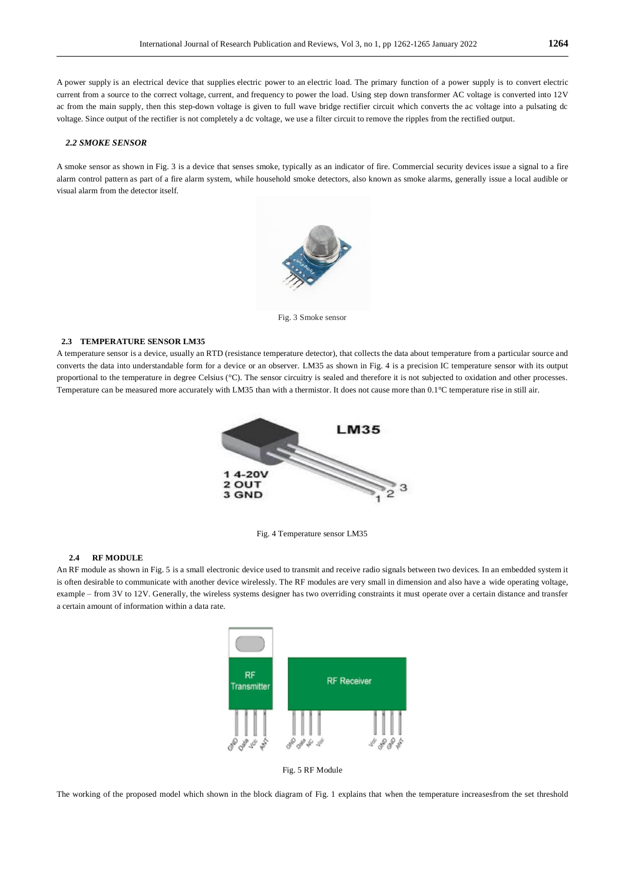A power supply is an electrical device that supplies electric power to an electric load. The primary function of a power supply is to convert electric current from a source to the correct voltage, current, and frequency to power the load. Using step down transformer AC voltage is converted into 12V ac from the main supply, then this step-down voltage is given to full wave bridge rectifier circuit which converts the ac voltage into a pulsating dc voltage. Since output of the rectifier is not completely a dc voltage, we use a filter circuit to remove the ripples from the rectified output.

#### *2.2 SMOKE SENSOR*

A smoke sensor as shown in Fig. 3 is a device that senses smoke, typically as an indicator of fire. Commercial security devices issue a signal to a fire alarm control pattern as part of a fire alarm system, while household smoke detectors, also known as smoke alarms, generally issue a local audible or visual alarm from the detector itself.



Fig. 3 Smoke sensor

#### **2.3 TEMPERATURE SENSOR LM35**

A temperature sensor is a device, usually an RTD (resistance temperature detector), that collects the data about temperature from a particular source and converts the data into understandable form for a device or an observer. LM35 as shown in Fig. 4 is a precision IC temperature sensor with its output proportional to the temperature in degree Celsius (°C). The sensor circuitry is sealed and therefore it is not subjected to oxidation and other processes. Temperature can be measured more accurately with LM35 than with a thermistor. It does not cause more than 0.1°C temperature rise in still air.





#### **2.4 RF MODULE**

An RF module as shown in Fig. 5 is a small electronic device used to transmit and receive radio signals between two devices. In an embedded system it is often desirable to communicate with another device wirelessly. The RF modules are very small in dimension and also have a wide operating voltage, example – from 3V to 12V. Generally, the wireless systems designer has two overriding constraints it must operate over a certain distance and transfer a certain amount of information within a data rate.





The working of the proposed model which shown in the block diagram of Fig. 1 explains that when the temperature increasesfrom the set threshold